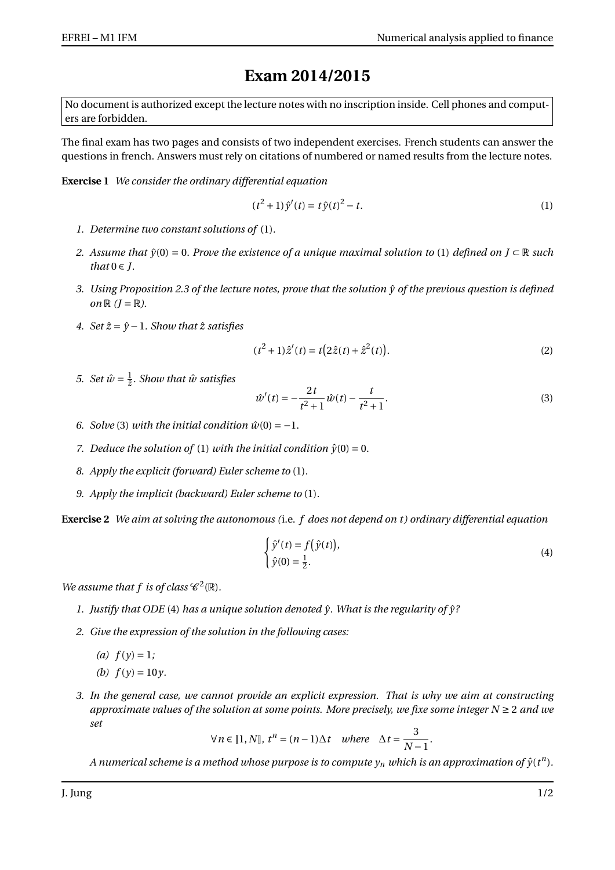## **Exam 2014/2015**

No document is authorized except the lecture notes with no inscription inside. Cell phones and computers are forbidden.

The final exam has two pages and consists of two independent exercises. French students can answer the questions in french. Answers must rely on citations of numbered or named results from the lecture notes.

**Exercise 1** *We consider the ordinary differential equation*

$$
(t2 + 1)\hat{y}'(t) = t\hat{y}(t)2 - t.
$$
 (1)

- *1. Determine two constant solutions of* (1)*.*
- *2. Assume that*  $\hat{y}(0) = 0$ *. Prove the existence of a unique maximal solution to* (1) *defined on J* ⊂ R *such that*  $0 \in J$ .
- *3. Using Proposition 2.3 of the lecture notes, prove that the solution*  $\hat{y}$  *of the previous question is defined on*  $\mathbb{R}$   $(I = \mathbb{R})$ .
- *4. Set*  $\hat{z} = \hat{y} 1$ *. Show that*  $\hat{z}$  *satisfies*

$$
(t2 + 1)\hat{z}'(t) = t(2\hat{z}(t) + \hat{z}^{2}(t)).
$$
\n(2)

5. *Set*  $\hat{w} = \frac{1}{\hat{z}}$ *. Show that*  $\hat{w}$  satisfies

$$
\hat{w}'(t) = -\frac{2t}{t^2 + 1}\hat{w}(t) - \frac{t}{t^2 + 1}.
$$
\n(3)

- *6. Solve* (3) *with the initial condition*  $\hat{w}(0) = -1$ .
- *7. Deduce the solution of* (1) *with the initial condition*  $\hat{y}(0) = 0$ *.*
- *8. Apply the explicit (forward) Euler scheme to* (1)*.*
- *9. Apply the implicit (backward) Euler scheme to* (1)*.*

**Exercise 2** *We aim at solving the autonomous (*i.e. *f does not depend on t ) ordinary differential equation*

$$
\begin{cases}\n\hat{y}'(t) = f(\hat{y}(t)), \\
\hat{y}(0) = \frac{1}{2}.\n\end{cases}
$$
\n(4)

.

*We assume that f is of class*  $\mathscr{C}^2(\mathbb{R})$ *.* 

- 1. Justify that ODE (4) has a unique solution denoted  $\hat{y}$ . What is the regularity of  $\hat{y}$ ?
- *2. Give the expression of the solution in the following cases:*
	- *(a)*  $f(y) = 1$ ;
	- *(b)*  $f(y) = 10y$ .
- *3. In the general case, we cannot provide an explicit expression. That is why we aim at constructing approximate values of the solution at some points. More precisely, we fixe some integer N* ≥ 2 *and we set*

$$
\forall n \in [1, N], t^n = (n-1)\Delta t \quad where \quad \Delta t = \frac{3}{N-1}
$$

 $A$  numerical scheme is a method whose purpose is to compute  $y_n$  which is an approximation of  $\hat{y}(t^n)$ .